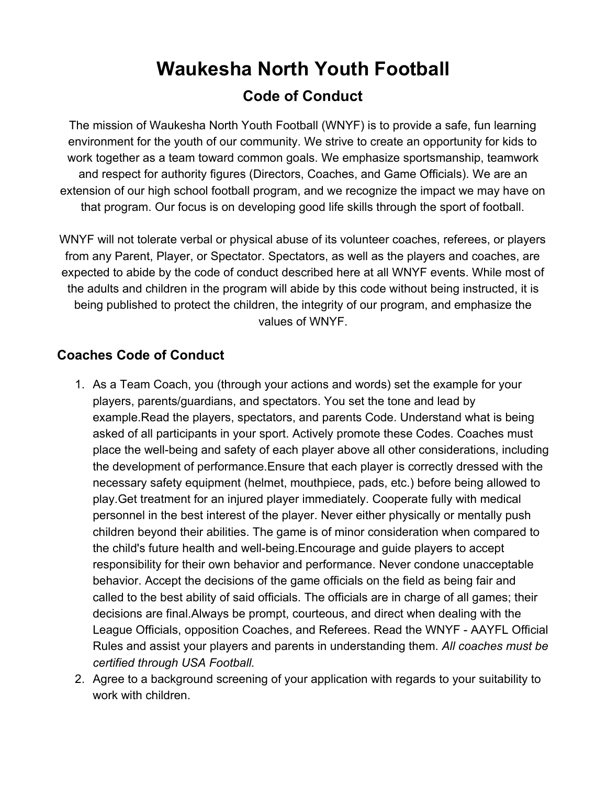# **Waukesha North Youth Football Code of Conduct**

The mission of Waukesha North Youth Football (WNYF) is to provide a safe, fun learning environment for the youth of our community. We strive to create an opportunity for kids to work together as a team toward common goals. We emphasize sportsmanship, teamwork and respect for authority figures (Directors, Coaches, and Game Officials). We are an extension of our high school football program, and we recognize the impact we may have on that program. Our focus is on developing good life skills through the sport of football.

WNYF will not tolerate verbal or physical abuse of its volunteer coaches, referees, or players from any Parent, Player, or Spectator. Spectators, as well as the players and coaches, are expected to abide by the code of conduct described here at all WNYF events. While most of the adults and children in the program will abide by this code without being instructed, it is being published to protect the children, the integrity of our program, and emphasize the values of WNYF.

### **Coaches Code of Conduct**

- 1. As a Team Coach, you (through your actions and words) set the example for your players, parents/guardians, and spectators. You set the tone and lead by example.Read the players, spectators, and parents Code. Understand what is being asked of all participants in your sport. Actively promote these Codes. Coaches must place the well-being and safety of each player above all other considerations, including the development of performance.Ensure that each player is correctly dressed with the necessary safety equipment (helmet, mouthpiece, pads, etc.) before being allowed to play.Get treatment for an injured player immediately. Cooperate fully with medical personnel in the best interest of the player. Never either physically or mentally push children beyond their abilities. The game is of minor consideration when compared to the child's future health and well-being.Encourage and guide players to accept responsibility for their own behavior and performance. Never condone unacceptable behavior. Accept the decisions of the game officials on the field as being fair and called to the best ability of said officials. The officials are in charge of all games; their decisions are final.Always be prompt, courteous, and direct when dealing with the League Officials, opposition Coaches, and Referees. Read the WNYF - AAYFL Official Rules and assist your players and parents in understanding them. *All coaches must be certified through USA Football.*
- 2. Agree to a background screening of your application with regards to your suitability to work with children.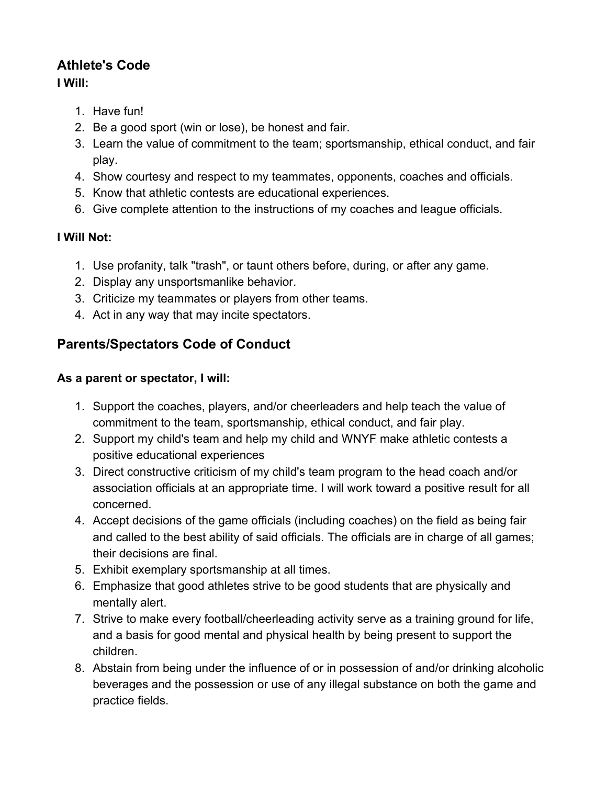# **Athlete's Code**

### **I Will:**

- 1. Have fun!
- 2. Be a good sport (win or lose), be honest and fair.
- 3. Learn the value of commitment to the team; sportsmanship, ethical conduct, and fair play.
- 4. Show courtesy and respect to my teammates, opponents, coaches and officials.
- 5. Know that athletic contests are educational experiences.
- 6. Give complete attention to the instructions of my coaches and league officials.

# **I Will Not:**

- 1. Use profanity, talk "trash", or taunt others before, during, or after any game.
- 2. Display any unsportsmanlike behavior.
- 3. Criticize my teammates or players from other teams.
- 4. Act in any way that may incite spectators.

# **Parents/Spectators Code of Conduct**

### **As a parent or spectator, I will:**

- 1. Support the coaches, players, and/or cheerleaders and help teach the value of commitment to the team, sportsmanship, ethical conduct, and fair play.
- 2. Support my child's team and help my child and WNYF make athletic contests a positive educational experiences
- 3. Direct constructive criticism of my child's team program to the head coach and/or association officials at an appropriate time. I will work toward a positive result for all concerned.
- 4. Accept decisions of the game officials (including coaches) on the field as being fair and called to the best ability of said officials. The officials are in charge of all games; their decisions are final.
- 5. Exhibit exemplary sportsmanship at all times.
- 6. Emphasize that good athletes strive to be good students that are physically and mentally alert.
- 7. Strive to make every football/cheerleading activity serve as a training ground for life, and a basis for good mental and physical health by being present to support the children.
- 8. Abstain from being under the influence of or in possession of and/or drinking alcoholic beverages and the possession or use of any illegal substance on both the game and practice fields.